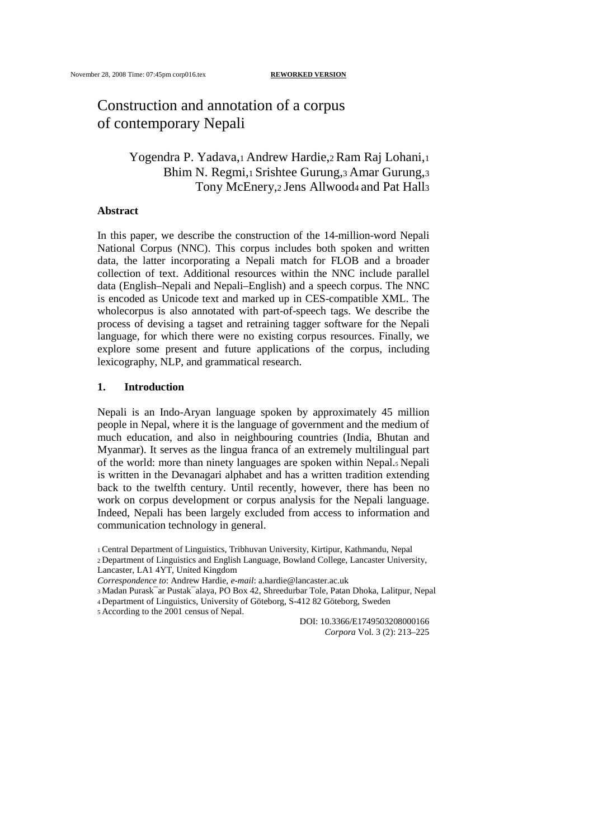# Construction and annotation of a corpus of contemporary Nepali

# Yogendra P. Yadava,1 Andrew Hardie,2 Ram Raj Lohani,<sup>1</sup> Bhim N. Regmi,1 Srishtee Gurung,3 Amar Gurung,<sup>3</sup> Tony McEnery,2 Jens Allwood4 and Pat Hall<sup>3</sup>

#### **Abstract**

In this paper, we describe the construction of the 14-million-word Nepali National Corpus (NNC). This corpus includes both spoken and written data, the latter incorporating a Nepali match for FLOB and a broader collection of text. Additional resources within the NNC include parallel data (English–Nepali and Nepali–English) and a speech corpus. The NNC is encoded as Unicode text and marked up in CES-compatible XML. The wholecorpus is also annotated with part-of-speech tags. We describe the process of devising a tagset and retraining tagger software for the Nepali language, for which there were no existing corpus resources. Finally, we explore some present and future applications of the corpus, including lexicography, NLP, and grammatical research.

# **1. Introduction**

Nepali is an Indo-Aryan language spoken by approximately 45 million people in Nepal, where it is the language of government and the medium of much education, and also in neighbouring countries (India, Bhutan and Myanmar). It serves as the lingua franca of an extremely multilingual part of the world: more than ninety languages are spoken within Nepal.5 Nepali is written in the Devanagari alphabet and has a written tradition extending back to the twelfth century. Until recently, however, there has been no work on corpus development or corpus analysis for the Nepali language. Indeed, Nepali has been largely excluded from access to information and communication technology in general.

<sup>1</sup>Central Department of Linguistics, Tribhuvan University, Kirtipur, Kathmandu, Nepal

<sup>2</sup>Department of Linguistics and English Language, Bowland College, Lancaster University, Lancaster, LA1 4YT, United Kingdom

<sup>3</sup>Madan Purask¯ ar Pustak¯ alaya, PO Box 42, Shreedurbar Tole, Patan Dhoka, Lalitpur, Nepal <sup>4</sup>Department of Linguistics, University of Göteborg, S-412 82 Göteborg, Sweden

<sup>5</sup>According to the 2001 census of Nepal.

DOI: 10.3366/E1749503208000166 *Corpora* Vol. 3 (2): 213–225

*Correspondence to*: Andrew Hardie, *e-mail*: a.hardie@lancaster.ac.uk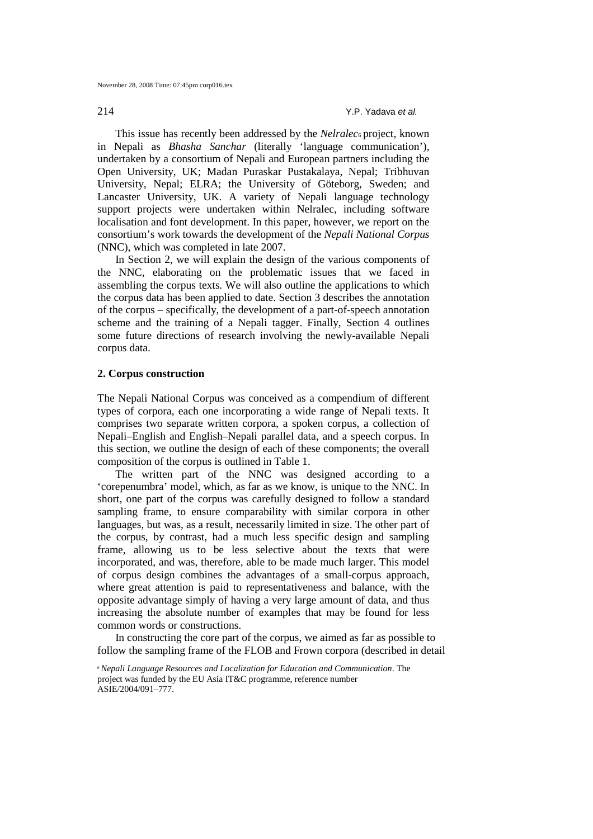214 **Y.P. Yadava et al.** 

This issue has recently been addressed by the *Nelralec*<sup>6</sup> project, known in Nepali as *Bhasha Sanchar* (literally 'language communication'), undertaken by a consortium of Nepali and European partners including the Open University, UK; Madan Puraskar Pustakalaya, Nepal; Tribhuvan University, Nepal; ELRA; the University of Göteborg, Sweden; and Lancaster University, UK. A variety of Nepali language technology support projects were undertaken within Nelralec, including software localisation and font development. In this paper, however, we report on the consortium's work towards the development of the *Nepali National Corpus*  (NNC), which was completed in late 2007.

 In Section 2, we will explain the design of the various components of the NNC, elaborating on the problematic issues that we faced in assembling the corpus texts. We will also outline the applications to which the corpus data has been applied to date. Section 3 describes the annotation of the corpus – specifically, the development of a part-of-speech annotation scheme and the training of a Nepali tagger. Finally, Section 4 outlines some future directions of research involving the newly-available Nepali corpus data.

#### **2. Corpus construction**

The Nepali National Corpus was conceived as a compendium of different types of corpora, each one incorporating a wide range of Nepali texts. It comprises two separate written corpora, a spoken corpus, a collection of Nepali–English and English–Nepali parallel data, and a speech corpus. In this section, we outline the design of each of these components; the overall composition of the corpus is outlined in Table 1.

The written part of the NNC was designed according to a 'corepenumbra' model, which, as far as we know, is unique to the NNC. In short, one part of the corpus was carefully designed to follow a standard sampling frame, to ensure comparability with similar corpora in other languages, but was, as a result, necessarily limited in size. The other part of the corpus, by contrast, had a much less specific design and sampling frame, allowing us to be less selective about the texts that were incorporated, and was, therefore, able to be made much larger. This model of corpus design combines the advantages of a small-corpus approach, where great attention is paid to representativeness and balance, with the opposite advantage simply of having a very large amount of data, and thus increasing the absolute number of examples that may be found for less common words or constructions.

In constructing the core part of the corpus, we aimed as far as possible to follow the sampling frame of the FLOB and Frown corpora (described in detail

<sup>6</sup> *Nepali Language Resources and Localization for Education and Communication*. The project was funded by the EU Asia IT&C programme, reference number ASIE/2004/091–777.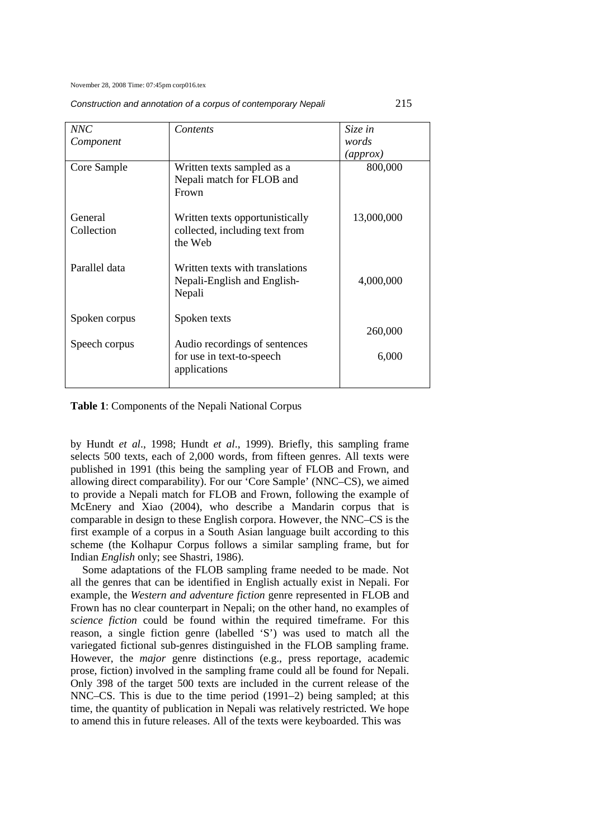November 28, 2008 Time: 07:45pm corp016.tex

Construction and annotation of a corpus of contemporary Nepali 215

| NNC                   | Contents                                                                     | Size in    |
|-----------------------|------------------------------------------------------------------------------|------------|
| Component             |                                                                              | words      |
|                       |                                                                              | (approx)   |
| Core Sample           | Written texts sampled as a<br>Nepali match for FLOB and<br>Frown             | 800,000    |
| General<br>Collection | Written texts opportunistically<br>collected, including text from<br>the Web | 13,000,000 |
| Parallel data         | Written texts with translations<br>Nepali-English and English-<br>Nepali     | 4,000,000  |
| Spoken corpus         | Spoken texts                                                                 |            |
|                       |                                                                              | 260,000    |
| Speech corpus         | Audio recordings of sentences<br>for use in text-to-speech<br>applications   | 6,000      |
|                       |                                                                              |            |

**Table 1**: Components of the Nepali National Corpus

by Hundt *et al*., 1998; Hundt *et al*., 1999). Briefly, this sampling frame selects 500 texts, each of 2,000 words, from fifteen genres. All texts were published in 1991 (this being the sampling year of FLOB and Frown, and allowing direct comparability). For our 'Core Sample' (NNC–CS), we aimed to provide a Nepali match for FLOB and Frown, following the example of McEnery and Xiao (2004), who describe a Mandarin corpus that is comparable in design to these English corpora. However, the NNC–CS is the first example of a corpus in a South Asian language built according to this scheme (the Kolhapur Corpus follows a similar sampling frame, but for Indian *English* only; see Shastri, 1986).

 Some adaptations of the FLOB sampling frame needed to be made. Not all the genres that can be identified in English actually exist in Nepali. For example, the *Western and adventure fiction* genre represented in FLOB and Frown has no clear counterpart in Nepali; on the other hand, no examples of *science fiction* could be found within the required timeframe. For this reason, a single fiction genre (labelled 'S') was used to match all the variegated fictional sub-genres distinguished in the FLOB sampling frame. However, the *major* genre distinctions (e.g., press reportage, academic prose, fiction) involved in the sampling frame could all be found for Nepali. Only 398 of the target 500 texts are included in the current release of the NNC–CS. This is due to the time period (1991–2) being sampled; at this time, the quantity of publication in Nepali was relatively restricted. We hope to amend this in future releases. All of the texts were keyboarded. This was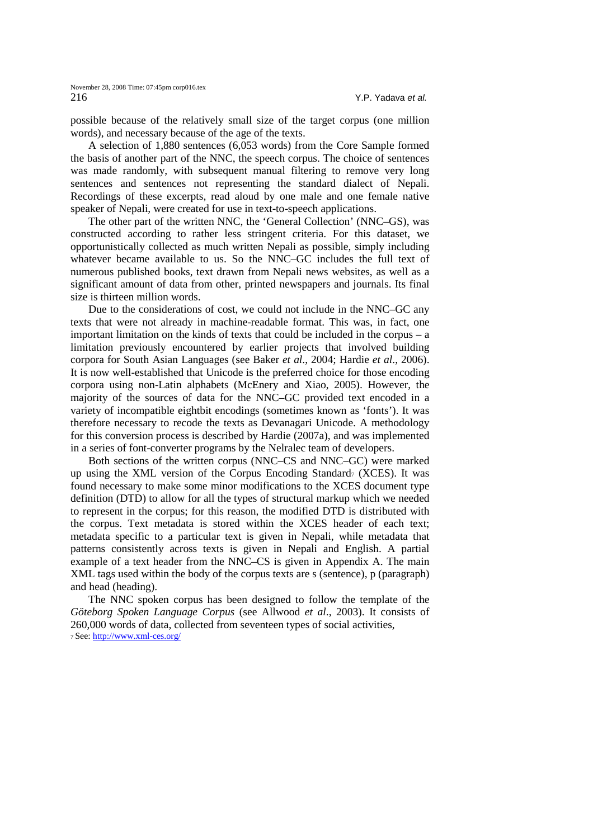possible because of the relatively small size of the target corpus (one million words), and necessary because of the age of the texts.

A selection of 1,880 sentences (6,053 words) from the Core Sample formed the basis of another part of the NNC, the speech corpus. The choice of sentences was made randomly, with subsequent manual filtering to remove very long sentences and sentences not representing the standard dialect of Nepali. Recordings of these excerpts, read aloud by one male and one female native speaker of Nepali, were created for use in text-to-speech applications.

The other part of the written NNC, the 'General Collection' (NNC–GS), was constructed according to rather less stringent criteria. For this dataset, we opportunistically collected as much written Nepali as possible, simply including whatever became available to us. So the NNC–GC includes the full text of numerous published books, text drawn from Nepali news websites, as well as a significant amount of data from other, printed newspapers and journals. Its final size is thirteen million words.

Due to the considerations of cost, we could not include in the NNC–GC any texts that were not already in machine-readable format. This was, in fact, one important limitation on the kinds of texts that could be included in the corpus – a limitation previously encountered by earlier projects that involved building corpora for South Asian Languages (see Baker *et al*., 2004; Hardie *et al*., 2006). It is now well-established that Unicode is the preferred choice for those encoding corpora using non-Latin alphabets (McEnery and Xiao, 2005). However, the majority of the sources of data for the NNC–GC provided text encoded in a variety of incompatible eightbit encodings (sometimes known as 'fonts'). It was therefore necessary to recode the texts as Devanagari Unicode. A methodology for this conversion process is described by Hardie (2007a), and was implemented in a series of font-converter programs by the Nelralec team of developers.

Both sections of the written corpus (NNC–CS and NNC–GC) were marked up using the XML version of the Corpus Encoding Standard<sub>7</sub> (XCES). It was found necessary to make some minor modifications to the XCES document type definition (DTD) to allow for all the types of structural markup which we needed to represent in the corpus; for this reason, the modified DTD is distributed with the corpus. Text metadata is stored within the XCES header of each text; metadata specific to a particular text is given in Nepali, while metadata that patterns consistently across texts is given in Nepali and English. A partial example of a text header from the NNC–CS is given in Appendix A. The main XML tags used within the body of the corpus texts are s (sentence), p (paragraph) and head (heading).

The NNC spoken corpus has been designed to follow the template of the *Göteborg Spoken Language Corpus* (see Allwood *et al*., 2003). It consists of 260,000 words of data, collected from seventeen types of social activities, 7 See: http://www.xml-ces.org/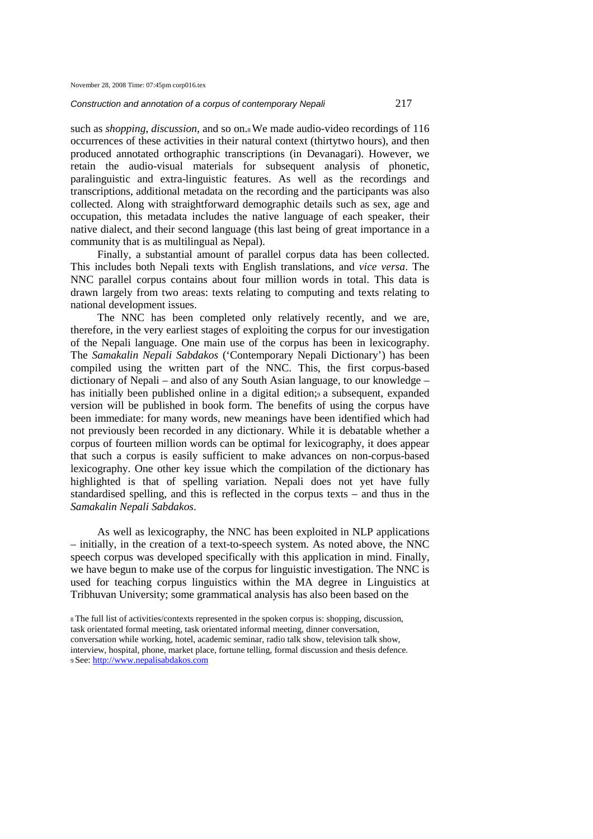#### Construction and annotation of a corpus of contemporary Nepali 217

such as *shopping*, *discussion*, and so on.8 We made audio-video recordings of 116 occurrences of these activities in their natural context (thirtytwo hours), and then produced annotated orthographic transcriptions (in Devanagari). However, we retain the audio-visual materials for subsequent analysis of phonetic, paralinguistic and extra-linguistic features. As well as the recordings and transcriptions, additional metadata on the recording and the participants was also collected. Along with straightforward demographic details such as sex, age and occupation, this metadata includes the native language of each speaker, their native dialect, and their second language (this last being of great importance in a community that is as multilingual as Nepal).

Finally, a substantial amount of parallel corpus data has been collected. This includes both Nepali texts with English translations, and *vice versa*. The NNC parallel corpus contains about four million words in total. This data is drawn largely from two areas: texts relating to computing and texts relating to national development issues.

The NNC has been completed only relatively recently, and we are, therefore, in the very earliest stages of exploiting the corpus for our investigation of the Nepali language. One main use of the corpus has been in lexicography. The *Samakalin Nepali Sabdakos* ('Contemporary Nepali Dictionary') has been compiled using the written part of the NNC. This, the first corpus-based dictionary of Nepali – and also of any South Asian language, to our knowledge – has initially been published online in a digital edition; a subsequent, expanded version will be published in book form. The benefits of using the corpus have been immediate: for many words, new meanings have been identified which had not previously been recorded in any dictionary. While it is debatable whether a corpus of fourteen million words can be optimal for lexicography, it does appear that such a corpus is easily sufficient to make advances on non-corpus-based lexicography. One other key issue which the compilation of the dictionary has highlighted is that of spelling variation. Nepali does not yet have fully standardised spelling, and this is reflected in the corpus texts – and thus in the *Samakalin Nepali Sabdakos*.

As well as lexicography, the NNC has been exploited in NLP applications – initially, in the creation of a text-to-speech system. As noted above, the NNC speech corpus was developed specifically with this application in mind. Finally, we have begun to make use of the corpus for linguistic investigation. The NNC is used for teaching corpus linguistics within the MA degree in Linguistics at Tribhuvan University; some grammatical analysis has also been based on the

<sup>8</sup>The full list of activities/contexts represented in the spoken corpus is: shopping, discussion, task orientated formal meeting, task orientated informal meeting, dinner conversation, conversation while working, hotel, academic seminar, radio talk show, television talk show, interview, hospital, phone, market place, fortune telling, formal discussion and thesis defence. 9 See: http://www.nepalisabdakos.com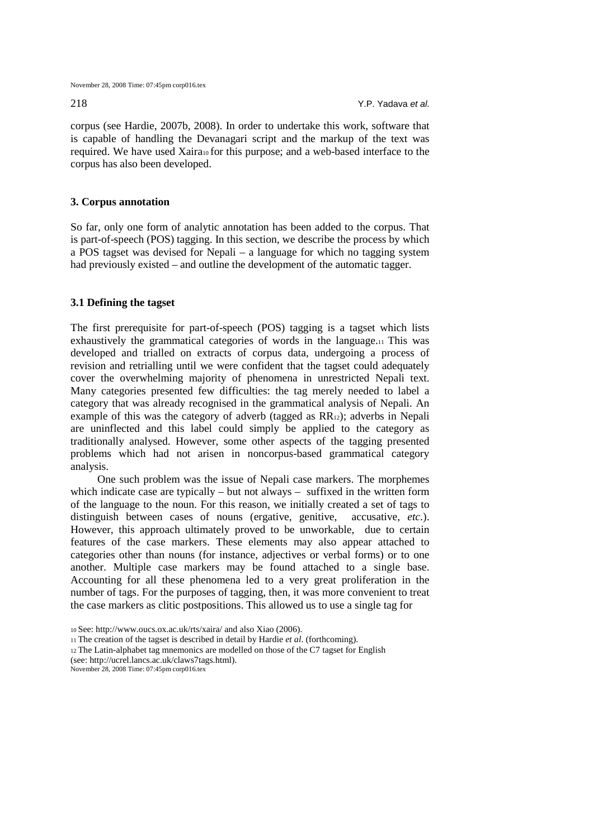corpus (see Hardie, 2007b, 2008). In order to undertake this work, software that is capable of handling the Devanagari script and the markup of the text was required. We have used Xaira10 for this purpose; and a web-based interface to the corpus has also been developed.

### **3. Corpus annotation**

So far, only one form of analytic annotation has been added to the corpus. That is part-of-speech (POS) tagging. In this section, we describe the process by which a POS tagset was devised for Nepali – a language for which no tagging system had previously existed – and outline the development of the automatic tagger.

# **3.1 Defining the tagset**

The first prerequisite for part-of-speech (POS) tagging is a tagset which lists exhaustively the grammatical categories of words in the language.11 This was developed and trialled on extracts of corpus data, undergoing a process of revision and retrialling until we were confident that the tagset could adequately cover the overwhelming majority of phenomena in unrestricted Nepali text. Many categories presented few difficulties: the tag merely needed to label a category that was already recognised in the grammatical analysis of Nepali. An example of this was the category of adverb (tagged as RR12); adverbs in Nepali are uninflected and this label could simply be applied to the category as traditionally analysed. However, some other aspects of the tagging presented problems which had not arisen in noncorpus-based grammatical category analysis.

One such problem was the issue of Nepali case markers. The morphemes which indicate case are typically – but not always – suffixed in the written form of the language to the noun. For this reason, we initially created a set of tags to distinguish between cases of nouns (ergative, genitive, accusative, *etc*.). However, this approach ultimately proved to be unworkable, due to certain features of the case markers. These elements may also appear attached to categories other than nouns (for instance, adjectives or verbal forms) or to one another. Multiple case markers may be found attached to a single base. Accounting for all these phenomena led to a very great proliferation in the number of tags. For the purposes of tagging, then, it was more convenient to treat the case markers as clitic postpositions. This allowed us to use a single tag for

<sup>10</sup>See: http://www.oucs.ox.ac.uk/rts/xaira/ and also Xiao (2006).

<sup>11</sup>The creation of the tagset is described in detail by Hardie *et al*. (forthcoming).

<sup>12</sup>The Latin-alphabet tag mnemonics are modelled on those of the C7 tagset for English

(see: http://ucrel.lancs.ac.uk/claws7tags.html). November 28, 2008 Time: 07:45pm corp016.tex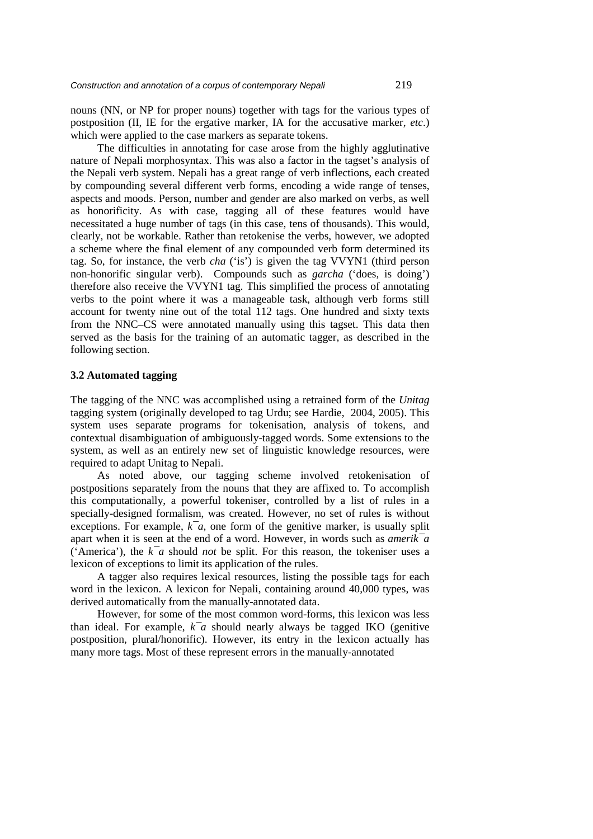nouns (NN, or NP for proper nouns) together with tags for the various types of postposition (II, IE for the ergative marker, IA for the accusative marker, *etc*.) which were applied to the case markers as separate tokens.

The difficulties in annotating for case arose from the highly agglutinative nature of Nepali morphosyntax. This was also a factor in the tagset's analysis of the Nepali verb system. Nepali has a great range of verb inflections, each created by compounding several different verb forms, encoding a wide range of tenses, aspects and moods. Person, number and gender are also marked on verbs, as well as honorificity. As with case, tagging all of these features would have necessitated a huge number of tags (in this case, tens of thousands). This would, clearly, not be workable. Rather than retokenise the verbs, however, we adopted a scheme where the final element of any compounded verb form determined its tag. So, for instance, the verb *cha* ('is') is given the tag VVYN1 (third person non-honorific singular verb). Compounds such as *garcha* ('does, is doing') therefore also receive the VVYN1 tag. This simplified the process of annotating verbs to the point where it was a manageable task, although verb forms still account for twenty nine out of the total 112 tags. One hundred and sixty texts from the NNC–CS were annotated manually using this tagset. This data then served as the basis for the training of an automatic tagger, as described in the following section.

# **3.2 Automated tagging**

The tagging of the NNC was accomplished using a retrained form of the *Unitag*  tagging system (originally developed to tag Urdu; see Hardie, 2004, 2005). This system uses separate programs for tokenisation, analysis of tokens, and contextual disambiguation of ambiguously-tagged words. Some extensions to the system, as well as an entirely new set of linguistic knowledge resources, were required to adapt Unitag to Nepali.

As noted above, our tagging scheme involved retokenisation of postpositions separately from the nouns that they are affixed to. To accomplish this computationally, a powerful tokeniser, controlled by a list of rules in a specially-designed formalism, was created. However, no set of rules is without exceptions. For example,  $k<sup>-</sup>a$ , one form of the genitive marker, is usually split apart when it is seen at the end of a word. However, in words such as *amerik¯ a*  ('America'), the  $k^- a$  should *not* be split. For this reason, the tokeniser uses a lexicon of exceptions to limit its application of the rules.

A tagger also requires lexical resources, listing the possible tags for each word in the lexicon. A lexicon for Nepali, containing around 40,000 types, was derived automatically from the manually-annotated data.

However, for some of the most common word-forms, this lexicon was less than ideal. For example,  $k^- a$  should nearly always be tagged IKO (genitive postposition, plural/honorific). However, its entry in the lexicon actually has many more tags. Most of these represent errors in the manually-annotated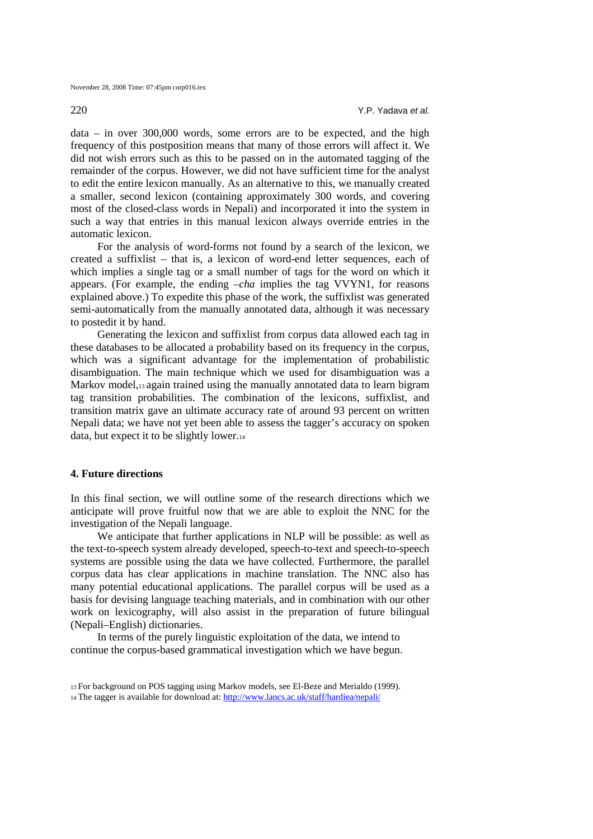data – in over 300,000 words, some errors are to be expected, and the high frequency of this postposition means that many of those errors will affect it. We did not wish errors such as this to be passed on in the automated tagging of the remainder of the corpus. However, we did not have sufficient time for the analyst to edit the entire lexicon manually. As an alternative to this, we manually created a smaller, second lexicon (containing approximately 300 words, and covering most of the closed-class words in Nepali) and incorporated it into the system in such a way that entries in this manual lexicon always override entries in the automatic lexicon.

For the analysis of word-forms not found by a search of the lexicon, we created a suffixlist – that is, a lexicon of word-end letter sequences, each of which implies a single tag or a small number of tags for the word on which it appears. (For example, the ending *–cha* implies the tag VVYN1, for reasons explained above.) To expedite this phase of the work, the suffixlist was generated semi-automatically from the manually annotated data, although it was necessary to postedit it by hand.

Generating the lexicon and suffixlist from corpus data allowed each tag in these databases to be allocated a probability based on its frequency in the corpus, which was a significant advantage for the implementation of probabilistic disambiguation. The main technique which we used for disambiguation was a Markov model,13 again trained using the manually annotated data to learn bigram tag transition probabilities. The combination of the lexicons, suffixlist, and transition matrix gave an ultimate accuracy rate of around 93 percent on written Nepali data; we have not yet been able to assess the tagger's accuracy on spoken data, but expect it to be slightly lower.<sup>14</sup>

### **4. Future directions**

In this final section, we will outline some of the research directions which we anticipate will prove fruitful now that we are able to exploit the NNC for the investigation of the Nepali language.

We anticipate that further applications in NLP will be possible: as well as the text-to-speech system already developed, speech-to-text and speech-to-speech systems are possible using the data we have collected. Furthermore, the parallel corpus data has clear applications in machine translation. The NNC also has many potential educational applications. The parallel corpus will be used as a basis for devising language teaching materials, and in combination with our other work on lexicography, will also assist in the preparation of future bilingual (Nepali–English) dictionaries.

 In terms of the purely linguistic exploitation of the data, we intend to continue the corpus-based grammatical investigation which we have begun.

<sup>13</sup>For background on POS tagging using Markov models, see El-Beze and Merialdo (1999). 14 The tagger is available for download at: http://www.lancs.ac.uk/staff/hardiea/nepali/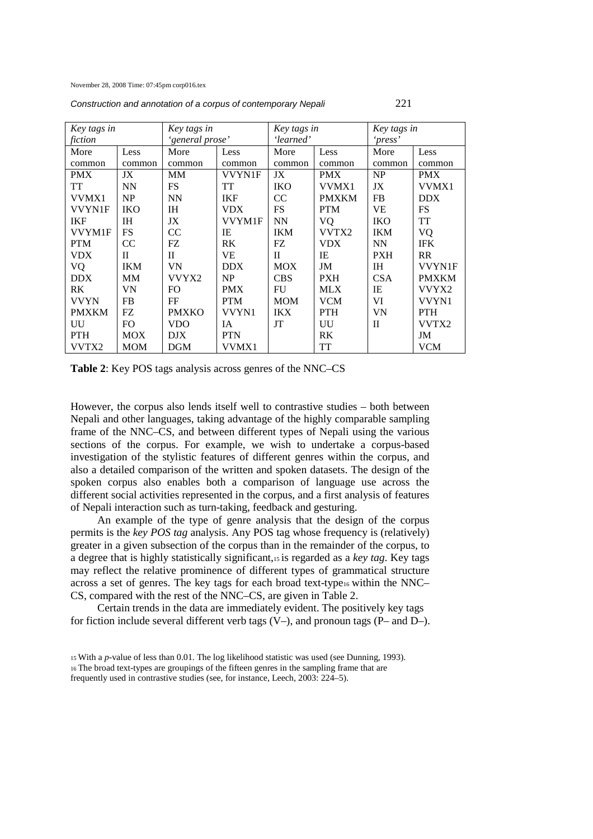November 28, 2008 Time: 07:45pm corp016.tex

Construction and annotation of a corpus of contemporary Nepali 221

| Key tags in   |              | Key tags in     |               | Key tags in |              | Key tags in |               |
|---------------|--------------|-----------------|---------------|-------------|--------------|-------------|---------------|
| fiction       |              | 'general prose' |               | 'learned'   |              | 'press'     |               |
| More          | Less         | More            | Less          | More        | Less         | More        | Less          |
| common        | common       | common          | common        | common      | common       | common      | common        |
| <b>PMX</b>    | JX           | MM              | <b>VVYN1F</b> | JX          | <b>PMX</b>   | NP          | <b>PMX</b>    |
| TT            | NN           | FS              | TT            | <b>IKO</b>  | VVMX1        | JX          | VVMX1         |
| VVMX1         | NP           | <b>NN</b>       | IKF           | CC          | <b>PMXKM</b> | <b>FB</b>   | <b>DDX</b>    |
| <b>VVYN1F</b> | <b>IKO</b>   | <b>IH</b>       | <b>VDX</b>    | <b>FS</b>   | <b>PTM</b>   | <b>VE</b>   | <b>FS</b>     |
| IKF           | IH           | JX              | VVYM1F        | <b>NN</b>   | VQ           | <b>IKO</b>  | TT            |
| VVYM1F        | <b>FS</b>    | CC              | IE            | IKM         | VVTX2        | <b>IKM</b>  | <b>VQ</b>     |
| <b>PTM</b>    | CC           | FZ.             | RK            | FZ.         | <b>VDX</b>   | <b>NN</b>   | <b>IFK</b>    |
| <b>VDX</b>    | $\mathbf{I}$ | $\mathbf{I}$    | VE            | $_{\rm II}$ | IE           | <b>PXH</b>  | <b>RR</b>     |
| VQ            | <b>IKM</b>   | VN              | <b>DDX</b>    | <b>MOX</b>  | JM           | <b>IH</b>   | <b>VVYN1F</b> |
| <b>DDX</b>    | MM           | VVYX2           | NP            | <b>CBS</b>  | <b>PXH</b>   | <b>CSA</b>  | <b>PMXKM</b>  |
| RK            | VN           | FO              | <b>PMX</b>    | FU          | <b>MLX</b>   | IE          | VVYX2         |
| <b>VVYN</b>   | FB.          | FF              | <b>PTM</b>    | <b>MOM</b>  | <b>VCM</b>   | VI          | VVYN1         |
| <b>PMXKM</b>  | FZ.          | <b>PMXKO</b>    | VVYN1         | <b>IKX</b>  | <b>PTH</b>   | <b>VN</b>   | <b>PTH</b>    |
| UU            | FO           | VDO             | <b>IA</b>     | JT          | UU           | П           | VVTX2         |
| <b>PTH</b>    | <b>MOX</b>   | <b>DJX</b>      | <b>PTN</b>    |             | <b>RK</b>    |             | JM            |
| VVTX2         | <b>MOM</b>   | <b>DGM</b>      | VVMX1         |             | TT           |             | <b>VCM</b>    |

**Table 2:** Key POS tags analysis across genres of the NNC–CS

However, the corpus also lends itself well to contrastive studies – both between Nepali and other languages, taking advantage of the highly comparable sampling frame of the NNC–CS, and between different types of Nepali using the various sections of the corpus. For example, we wish to undertake a corpus-based investigation of the stylistic features of different genres within the corpus, and also a detailed comparison of the written and spoken datasets. The design of the spoken corpus also enables both a comparison of language use across the different social activities represented in the corpus, and a first analysis of features of Nepali interaction such as turn-taking, feedback and gesturing.

An example of the type of genre analysis that the design of the corpus permits is the *key POS tag* analysis. Any POS tag whose frequency is (relatively) greater in a given subsection of the corpus than in the remainder of the corpus, to a degree that is highly statistically significant,15 is regarded as a *key tag*. Key tags may reflect the relative prominence of different types of grammatical structure across a set of genres. The key tags for each broad text-type16 within the NNC– CS, compared with the rest of the NNC–CS, are given in Table 2.

Certain trends in the data are immediately evident. The positively key tags for fiction include several different verb tags (V–), and pronoun tags (P– and D–).

<sup>15</sup>With a *p*-value of less than 0.01. The log likelihood statistic was used (see Dunning, 1993). <sup>16</sup>The broad text-types are groupings of the fifteen genres in the sampling frame that are frequently used in contrastive studies (see, for instance, Leech, 2003: 224–5).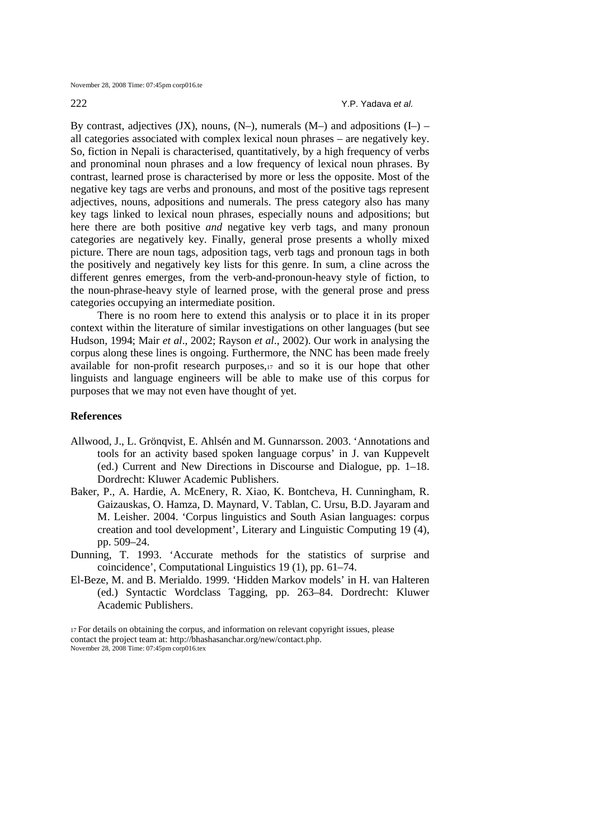222 **Y.P. Yadava et al.** 

By contrast, adjectives  $(IX)$ , nouns,  $(N-)$ , numerals  $(M-)$  and adpositions  $(I-)$  – all categories associated with complex lexical noun phrases – are negatively key. So, fiction in Nepali is characterised, quantitatively, by a high frequency of verbs and pronominal noun phrases and a low frequency of lexical noun phrases. By contrast, learned prose is characterised by more or less the opposite. Most of the negative key tags are verbs and pronouns, and most of the positive tags represent adjectives, nouns, adpositions and numerals. The press category also has many key tags linked to lexical noun phrases, especially nouns and adpositions; but here there are both positive *and* negative key verb tags, and many pronoun categories are negatively key. Finally, general prose presents a wholly mixed picture. There are noun tags, adposition tags, verb tags and pronoun tags in both the positively and negatively key lists for this genre. In sum, a cline across the different genres emerges, from the verb-and-pronoun-heavy style of fiction, to the noun-phrase-heavy style of learned prose, with the general prose and press categories occupying an intermediate position.

There is no room here to extend this analysis or to place it in its proper context within the literature of similar investigations on other languages (but see Hudson, 1994; Mair *et al*., 2002; Rayson *et al*., 2002). Our work in analysing the corpus along these lines is ongoing. Furthermore, the NNC has been made freely available for non-profit research purposes,17 and so it is our hope that other linguists and language engineers will be able to make use of this corpus for purposes that we may not even have thought of yet.

#### **References**

- Allwood, J., L. Grönqvist, E. Ahlsén and M. Gunnarsson. 2003. 'Annotations and tools for an activity based spoken language corpus' in J. van Kuppevelt (ed.) Current and New Directions in Discourse and Dialogue, pp. 1–18. Dordrecht: Kluwer Academic Publishers.
- Baker, P., A. Hardie, A. McEnery, R. Xiao, K. Bontcheva, H. Cunningham, R. Gaizauskas, O. Hamza, D. Maynard, V. Tablan, C. Ursu, B.D. Jayaram and M. Leisher. 2004. 'Corpus linguistics and South Asian languages: corpus creation and tool development', Literary and Linguistic Computing 19 (4), pp. 509–24.
- Dunning, T. 1993. 'Accurate methods for the statistics of surprise and coincidence', Computational Linguistics 19 (1), pp. 61–74.
- El-Beze, M. and B. Merialdo. 1999. 'Hidden Markov models' in H. van Halteren (ed.) Syntactic Wordclass Tagging, pp. 263–84. Dordrecht: Kluwer Academic Publishers.

<sup>17</sup>For details on obtaining the corpus, and information on relevant copyright issues, please contact the project team at: http://bhashasanchar.org/new/contact.php. November 28, 2008 Time: 07:45pm corp016.tex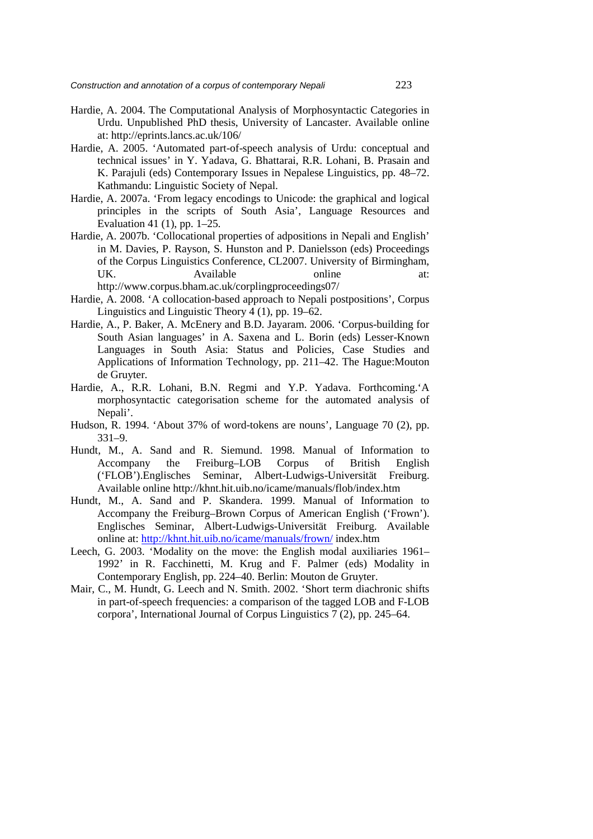- Hardie, A. 2004. The Computational Analysis of Morphosyntactic Categories in Urdu. Unpublished PhD thesis, University of Lancaster. Available online at: http://eprints.lancs.ac.uk/106/
- Hardie, A. 2005. 'Automated part-of-speech analysis of Urdu: conceptual and technical issues' in Y. Yadava, G. Bhattarai, R.R. Lohani, B. Prasain and K. Parajuli (eds) Contemporary Issues in Nepalese Linguistics, pp. 48–72. Kathmandu: Linguistic Society of Nepal.
- Hardie, A. 2007a. 'From legacy encodings to Unicode: the graphical and logical principles in the scripts of South Asia', Language Resources and Evaluation 41 (1), pp. 1–25.
- Hardie, A. 2007b. 'Collocational properties of adpositions in Nepali and English' in M. Davies, P. Rayson, S. Hunston and P. Danielsson (eds) Proceedings of the Corpus Linguistics Conference, CL2007. University of Birmingham, UK. Available online at: http://www.corpus.bham.ac.uk/corplingproceedings07/
- Hardie, A. 2008. 'A collocation-based approach to Nepali postpositions', Corpus Linguistics and Linguistic Theory  $\overline{4}$  (1), pp. 19–62.
- Hardie, A., P. Baker, A. McEnery and B.D. Jayaram. 2006. 'Corpus-building for South Asian languages' in A. Saxena and L. Borin (eds) Lesser-Known Languages in South Asia: Status and Policies, Case Studies and Applications of Information Technology, pp. 211–42. The Hague:Mouton de Gruyter.
- Hardie, A., R.R. Lohani, B.N. Regmi and Y.P. Yadava. Forthcoming.'A morphosyntactic categorisation scheme for the automated analysis of Nepali'.
- Hudson, R. 1994. 'About 37% of word-tokens are nouns', Language 70 (2), pp. 331–9.
- Hundt, M., A. Sand and R. Siemund. 1998. Manual of Information to Accompany the Freiburg–LOB Corpus of British English ('FLOB').Englisches Seminar, Albert-Ludwigs-Universität Freiburg. Available online http://khnt.hit.uib.no/icame/manuals/flob/index.htm
- Hundt, M., A. Sand and P. Skandera. 1999. Manual of Information to Accompany the Freiburg–Brown Corpus of American English ('Frown'). Englisches Seminar, Albert-Ludwigs-Universität Freiburg. Available online at: http://khnt.hit.uib.no/icame/manuals/frown/ index.htm
- Leech, G. 2003. 'Modality on the move: the English modal auxiliaries 1961– 1992' in R. Facchinetti, M. Krug and F. Palmer (eds) Modality in Contemporary English, pp. 224–40. Berlin: Mouton de Gruyter.
- Mair, C., M. Hundt, G. Leech and N. Smith. 2002. 'Short term diachronic shifts in part-of-speech frequencies: a comparison of the tagged LOB and F-LOB corpora', International Journal of Corpus Linguistics 7 (2), pp. 245–64.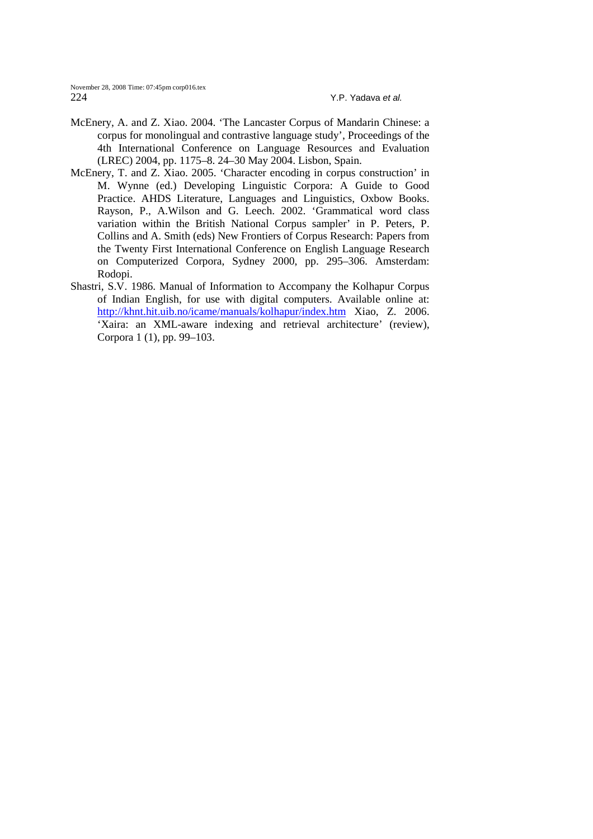November 28, 2008 Time: 07:45pm corp016.tex 224 Y.P. Yadava et al.

- McEnery, A. and Z. Xiao. 2004. 'The Lancaster Corpus of Mandarin Chinese: a corpus for monolingual and contrastive language study', Proceedings of the 4th International Conference on Language Resources and Evaluation (LREC) 2004, pp. 1175–8. 24–30 May 2004. Lisbon, Spain.
- McEnery, T. and Z. Xiao. 2005. 'Character encoding in corpus construction' in M. Wynne (ed.) Developing Linguistic Corpora: A Guide to Good Practice. AHDS Literature, Languages and Linguistics, Oxbow Books. Rayson, P., A.Wilson and G. Leech. 2002. 'Grammatical word class variation within the British National Corpus sampler' in P. Peters, P. Collins and A. Smith (eds) New Frontiers of Corpus Research: Papers from the Twenty First International Conference on English Language Research on Computerized Corpora, Sydney 2000, pp. 295–306. Amsterdam: Rodopi.
- Shastri, S.V. 1986. Manual of Information to Accompany the Kolhapur Corpus of Indian English, for use with digital computers. Available online at: http://khnt.hit.uib.no/icame/manuals/kolhapur/index.htm Xiao, Z. 2006. 'Xaira: an XML-aware indexing and retrieval architecture' (review), Corpora 1 (1), pp. 99–103.